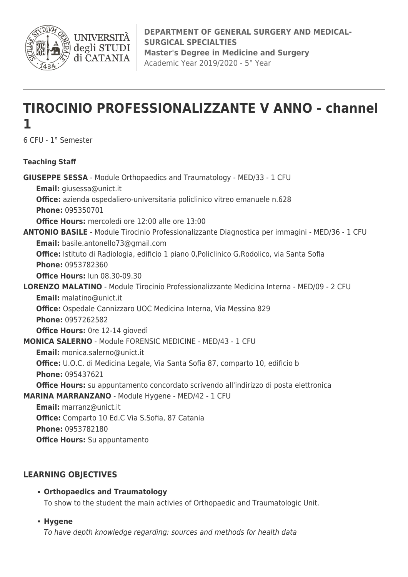

**UNIVERSIT** degli STUDI di CATANIA

# **TIROCINIO PROFESSIONALIZZANTE V ANNO - channel 1**

6 CFU - 1° Semester

# **Teaching Staff**

**GIUSEPPE SESSA** - Module Orthopaedics and Traumatology - MED/33 - 1 CFU **Email:** [giusessa@unict.it](mailto:giusessa@unict.it) **Office:** azienda ospedaliero-universitaria policlinico vitreo emanuele n.628 **Phone:** 095350701 **Office Hours:** mercoledì ore 12:00 alle ore 13:00 **ANTONIO BASILE** - Module Tirocinio Professionalizzante Diagnostica per immagini - MED/36 - 1 CFU **Email:** [basile.antonello73@gmail.com](mailto:basile.antonello73@gmail.com) **Office:** Istituto di Radiologia, edificio 1 piano 0,Policlinico G.Rodolico, via Santa Sofia **Phone:** 0953782360 **Office Hours:** lun 08.30-09.30 **LORENZO MALATINO** - Module Tirocinio Professionalizzante Medicina Interna - MED/09 - 2 CFU **Email:** [malatino@unict.it](mailto:malatino@unict.it) **Office:** Ospedale Cannizzaro UOC Medicina Interna, Via Messina 829 **Phone:** 0957262582 **Office Hours:** 0re 12-14 giovedì **MONICA SALERNO** - Module FORENSIC MEDICINE - MED/43 - 1 CFU **Email:** [monica.salerno@unict.it](mailto:monica.salerno@unict.it) **Office:** U.O.C. di Medicina Legale, Via Santa Sofia 87, comparto 10, edificio b **Phone:** 095437621 **Office Hours:** su appuntamento concordato scrivendo all'indirizzo di posta elettronica **MARINA MARRANZANO** - Module Hygene - MED/42 - 1 CFU **Email:** [marranz@unict.it](mailto:marranz@unict.it) **Office:** Comparto 10 Ed.C Via S.Sofia, 87 Catania **Phone:** 0953782180 **Office Hours:** Su appuntamento

# **LEARNING OBJECTIVES**

# **Orthopaedics and Traumatology** To show to the student the main activies of Orthopaedic and Traumatologic Unit.

# **Hygene**

To have depth knowledge regarding: sources and methods for health data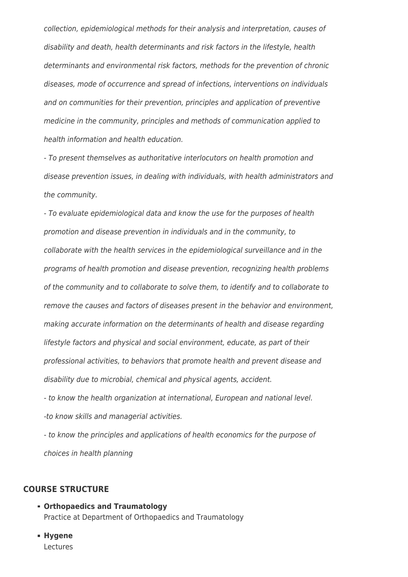collection, epidemiological methods for their analysis and interpretation, causes of disability and death, health determinants and risk factors in the lifestyle, health determinants and environmental risk factors, methods for the prevention of chronic diseases, mode of occurrence and spread of infections, interventions on individuals and on communities for their prevention, principles and application of preventive medicine in the community, principles and methods of communication applied to health information and health education.

- To present themselves as authoritative interlocutors on health promotion and disease prevention issues, in dealing with individuals, with health administrators and the community.

- To evaluate epidemiological data and know the use for the purposes of health promotion and disease prevention in individuals and in the community, to collaborate with the health services in the epidemiological surveillance and in the programs of health promotion and disease prevention, recognizing health problems of the community and to collaborate to solve them, to identify and to collaborate to remove the causes and factors of diseases present in the behavior and environment, making accurate information on the determinants of health and disease regarding lifestyle factors and physical and social environment, educate, as part of their professional activities, to behaviors that promote health and prevent disease and disability due to microbial, chemical and physical agents, accident.

- to know the health organization at international, European and national level. -to know skills and managerial activities.

- to know the principles and applications of health economics for the purpose of choices in health planning

#### **COURSE STRUCTURE**

- **Orthopaedics and Traumatology** Practice at Department of Orthopaedics and Traumatology
- **Hygene** Lectures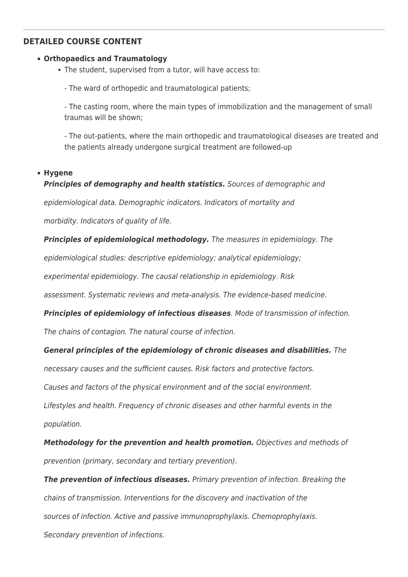# **DETAILED COURSE CONTENT**

#### **Orthopaedics and Traumatology**

The student, supervised from a tutor, will have access to:

- The ward of orthopedic and traumatological patients;

- The casting room, where the main types of immobilization and the management of small traumas will be shown;

- The out-patients, where the main orthopedic and traumatological diseases are treated and the patients already undergone surgical treatment are followed-up

#### **Hygene**

**Principles of demography and health statistics.** Sources of demographic and

epidemiological data. Demographic indicators. Indicators of mortality and

morbidity. Indicators of quality of life.

*Principles of epidemiological methodology.* The measures in epidemiology. The

epidemiological studies: descriptive epidemiology; analytical epidemiology;

experimental epidemiology. The causal relationship in epidemiology. Risk

assessment. Systematic reviews and meta-analysis. The evidence-based medicine.

# *Principles of epidemiology of infectious diseases*. Mode of transmission of infection.

The chains of contagion. The natural course of infection.

# *General principles of the epidemiology of chronic diseases and disabilities.* The

necessary causes and the sufficient causes. Risk factors and protective factors.

Causes and factors of the physical environment and of the social environment.

Lifestyles and health. Frequency of chronic diseases and other harmful events in the population.

**Methodology for the prevention and health promotion.** Objectives and methods of prevention (primary, secondary and tertiary prevention).

*The prevention of infectious diseases.* Primary prevention of infection. Breaking the chains of transmission. Interventions for the discovery and inactivation of the sources of infection. Active and passive immunoprophylaxis. Chemoprophylaxis. Secondary prevention of infections.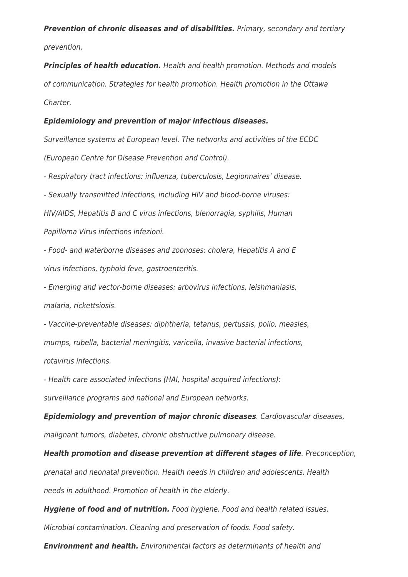**Prevention of chronic diseases and of disabilities.** Primary, secondary and tertiary prevention.

**Principles of health education.** Health and health promotion. Methods and models of communication. Strategies for health promotion. Health promotion in the Ottawa Charter.

#### *Epidemiology and prevention of major infectious diseases.*

Surveillance systems at European level. The networks and activities of the ECDC (European Centre for Disease Prevention and Control).

- Respiratory tract infections: influenza, tuberculosis, Legionnaires' disease.

- Sexually transmitted infections, including HIV and blood-borne viruses:

HIV/AIDS, Hepatitis B and C virus infections, blenorragia, syphilis, Human Papilloma Virus infections infezioni.

- Food- and waterborne diseases and zoonoses: cholera, Hepatitis A and E virus infections, typhoid feve, gastroenteritis.

- Emerging and vector-borne diseases: arbovirus infections, leishmaniasis, malaria, rickettsiosis.

- Vaccine-preventable diseases: diphtheria, tetanus, pertussis, polio, measles, mumps, rubella, bacterial meningitis, varicella, invasive bacterial infections, rotavirus infections.

- Health care associated infections (HAI, hospital acquired infections):

surveillance programs and national and European networks.

*Epidemiology and prevention of major chronic diseases*. Cardiovascular diseases, malignant tumors, diabetes, chronic obstructive pulmonary disease.

**Health promotion and disease prevention at different stages of life**. Preconception,

prenatal and neonatal prevention. Health needs in children and adolescents. Health

needs in adulthood. Promotion of health in the elderly.

*Hygiene of food and of nutrition.* Food hygiene. Food and health related issues.

Microbial contamination. Cleaning and preservation of foods. Food safety.

*Environment and health.* Environmental factors as determinants of health and